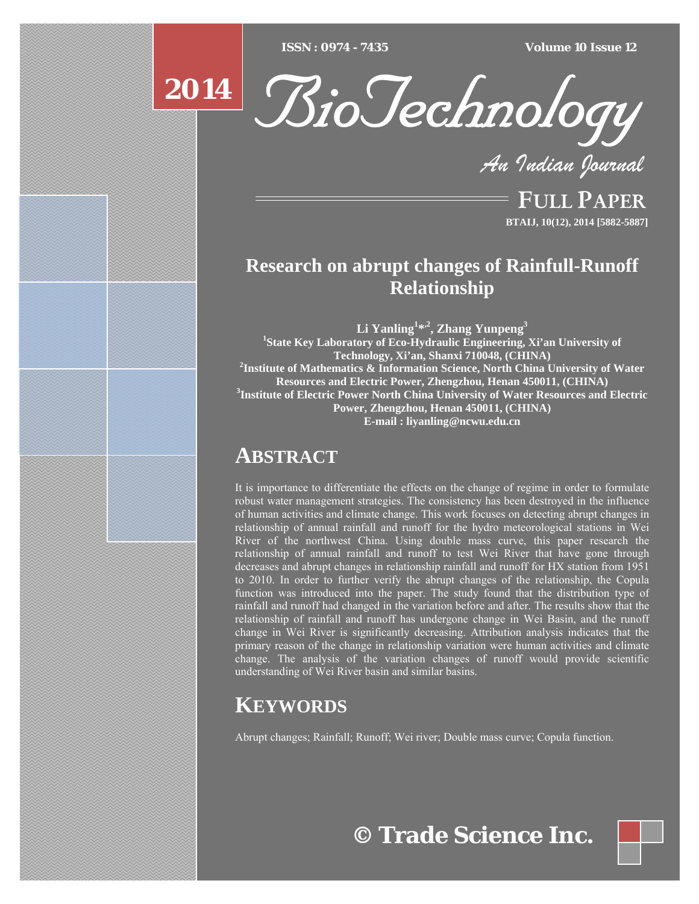$ISSN : 0974 - 7435$ 

*ISSN : 0974 - 7435 Volume 10 Issue 12*





*An Indian Journal*

FULL PAPER **BTAIJ, 10(12), 2014 [5882-5887]**

# **Research on abrupt changes of Rainfull-Runoff Relationship**

**Li Yanling<sup>1</sup> \*,2, Zhang Yunpeng3 1 State Key Laboratory of Eco-Hydraulic Engineering, Xi'an University of Technology, Xi'an, Shanxi 710048, (CHINA) 2 Institute of Mathematics & Information Science, North China University of Water Resources and Electric Power, Zhengzhou, Henan 450011, (CHINA) 3 Institute of Electric Power North China University of Water Resources and Electric Power, Zhengzhou, Henan 450011, (CHINA) E-mail : liyanling@ncwu.edu.cn**

# **ABSTRACT**

It is importance to differentiate the effects on the change of regime in order to formulate robust water management strategies. The consistency has been destroyed in the influence of human activities and climate change. This work focuses on detecting abrupt changes in relationship of annual rainfall and runoff for the hydro meteorological stations in Wei River of the northwest China. Using double mass curve, this paper research the relationship of annual rainfall and runoff to test Wei River that have gone through decreases and abrupt changes in relationship rainfall and runoff for HX station from 1951 to 2010. In order to further verify the abrupt changes of the relationship, the Copula function was introduced into the paper. The study found that the distribution type of rainfall and runoff had changed in the variation before and after. The results show that the relationship of rainfall and runoff has undergone change in Wei Basin, and the runoff change in Wei River is significantly decreasing. Attribution analysis indicates that the primary reason of the change in relationship variation were human activities and climate change. The analysis of the variation changes of runoff would provide scientific understanding of Wei River basin and similar basins.

# **KEYWORDS**

Abrupt changes; Rainfall; Runoff; Wei river; Double mass curve; Copula function.

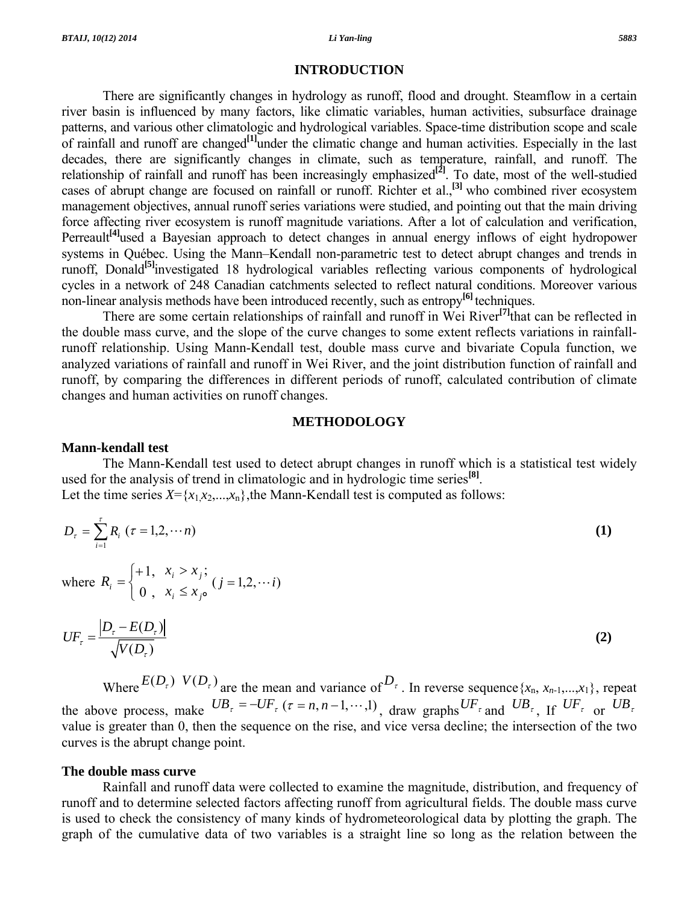#### **INTRODUCTION**

 There are significantly changes in hydrology as runoff, flood and drought. Steamflow in a certain river basin is influenced by many factors, like climatic variables, human activities, subsurface drainage patterns, and various other climatologic and hydrological variables. Space-time distribution scope and scale of rainfall and runoff are changed**[1]**under the climatic change and human activities. Especially in the last decades, there are significantly changes in climate, such as temperature, rainfall, and runoff. The relationship of rainfall and runoff has been increasingly emphasized<sup>[2]</sup>. To date, most of the well-studied cases of abrupt change are focused on rainfall or runoff. Richter et al.,**[3]** who combined river ecosystem management objectives, annual runoff series variations were studied, and pointing out that the main driving force affecting river ecosystem is runoff magnitude variations. After a lot of calculation and verification, Perreault<sup>[4]</sup>used a Bayesian approach to detect changes in annual energy inflows of eight hydropower systems in Québec. Using the Mann–Kendall non-parametric test to detect abrupt changes and trends in runoff, Donald**[5]**investigated 18 hydrological variables reflecting various components of hydrological cycles in a network of 248 Canadian catchments selected to reflect natural conditions. Moreover various non-linear analysis methods have been introduced recently, such as entropy**[6]** techniques.

 There are some certain relationships of rainfall and runoff in Wei River**[7]**that can be reflected in the double mass curve, and the slope of the curve changes to some extent reflects variations in rainfallrunoff relationship. Using Mann-Kendall test, double mass curve and bivariate Copula function, we analyzed variations of rainfall and runoff in Wei River, and the joint distribution function of rainfall and runoff, by comparing the differences in different periods of runoff, calculated contribution of climate changes and human activities on runoff changes.

# **METHODOLOGY**

### **Mann-kendall test**

 The Mann-Kendall test used to detect abrupt changes in runoff which is a statistical test widely used for the analysis of trend in climatologic and in hydrologic time series**[8]**. Let the time series  $X = \{x_1, x_2, \ldots, x_n\}$ , the Mann-Kendall test is computed as follows:

$$
D_{\tau} = \sum_{i=1}^{\tau} R_i \ (\tau = 1, 2, \cdots n)
$$
 (1)

where 
$$
R_i = \begin{cases} +1, & x_i > x_j; \\ 0, & x_i \le x_j \end{cases}
$$
  $(j = 1, 2, \cdots i)$ 

$$
UF_{\tau} = \frac{\left| D_{\tau} - E(D_{\tau}) \right|}{\sqrt{V(D_{\tau})}}
$$
\n(2)

Where  $E(D_\tau)$   $V(D_\tau)$  are the mean and variance of  $D_\tau$ . In reverse sequence {*x<sub>n</sub>*, *x<sub>n-1</sub>,...,x*<sub>1</sub>}, repeat the above process, make  $UB_\tau = -UF_\tau$  ( $\tau = n, n-1, \dots, 1$ ), draw graphs  $UF_\tau$  and  $UB_\tau$ , If  $UF_\tau$  or  $UB_\tau$ value is greater than 0, then the sequence on the rise, and vice versa decline; the intersection of the two curves is the abrupt change point.

### **The double mass curve**

 Rainfall and runoff data were collected to examine the magnitude, distribution, and frequency of runoff and to determine selected factors affecting runoff from agricultural fields. The double mass curve is used to check the consistency of many kinds of hydrometeorological data by plotting the graph. The graph of the cumulative data of two variables is a straight line so long as the relation between the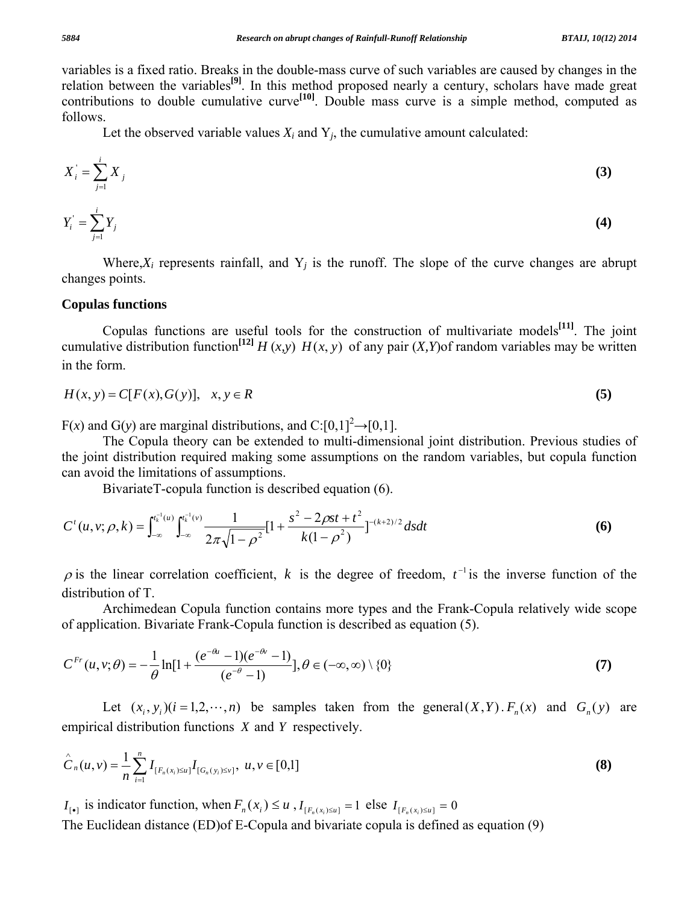variables is a fixed ratio. Breaks in the double-mass curve of such variables are caused by changes in the relation between the variables**[9]**. In this method proposed nearly a century, scholars have made great contributions to double cumulative curve**[10]**. Double mass curve is a simple method, computed as follows.

Let the observed variable values  $X_i$  and  $Y_i$ , the cumulative amount calculated:

$$
X_i = \sum_{j=1}^i X_j
$$
 (3)

$$
Y_i' = \sum_{j=1}^i Y_j \tag{4}
$$

Where, $X_i$  represents rainfall, and  $Y_j$  is the runoff. The slope of the curve changes are abrupt changes points.

# **Copulas functions**

 Copulas functions are useful tools for the construction of multivariate models**[11]**. The joint cumulative distribution function<sup>[12]</sup>  $H(x, y)$   $H(x, y)$  of any pair  $(X, Y)$ of random variables may be written in the form.

$$
H(x, y) = C[F(x), G(y)], \quad x, y \in R
$$
\n
$$
(5)
$$

 $F(x)$  and  $G(y)$  are marginal distributions, and  $C:[0,1]^2 \rightarrow [0,1]$ .

 The Copula theory can be extended to multi-dimensional joint distribution. Previous studies of the joint distribution required making some assumptions on the random variables, but copula function can avoid the limitations of assumptions.

BivariateT-copula function is described equation (6).

$$
C^{t}(u, v; \rho, k) = \int_{-\infty}^{t_{k}^{-1}(u)} \int_{-\infty}^{t_{k}^{-1}(v)} \frac{1}{2\pi\sqrt{1-\rho^{2}}} [1 + \frac{s^{2} - 2\rho st + t^{2}}{k(1-\rho^{2})}]^{-(k+2)/2} ds dt
$$
(6)

 $\rho$  is the linear correlation coefficient, k is the degree of freedom,  $t^{-1}$  is the inverse function of the distribution of T.

 Archimedean Copula function contains more types and the Frank-Copula relatively wide scope of application. Bivariate Frank-Copula function is described as equation (5).

$$
C^{Fr}(u, v; \theta) = -\frac{1}{\theta} \ln[1 + \frac{(e^{-\theta u} - 1)(e^{-\theta v} - 1)}{(e^{-\theta} - 1)}], \theta \in (-\infty, \infty) \setminus \{0\}
$$
(7)

Let  $(x_i, y_i)(i = 1,2,\dots,n)$  be samples taken from the general $(X, Y)$ .  $F_n(x)$  and  $G_n(y)$  are empirical distribution functions *X* and *Y* respectively.

$$
\hat{C}_n(u,v) = \frac{1}{n} \sum_{i=1}^n I_{[F_n(x_i)\leq u]} I_{[G_n(y_i)\leq v]}, \ u, v \in [0,1]
$$
\n(8)

*I*<sub>[ $F_n$ </sub>( $x_i$ ) is indicator function, when  $F_n(x_i) \le u$ ,  $I_{[F_n(x_i)\le u]} = 1$  else  $I_{[F_n(x_i)\le u]} = 0$ 

The Euclidean distance (ED)of E-Copula and bivariate copula is defined as equation (9)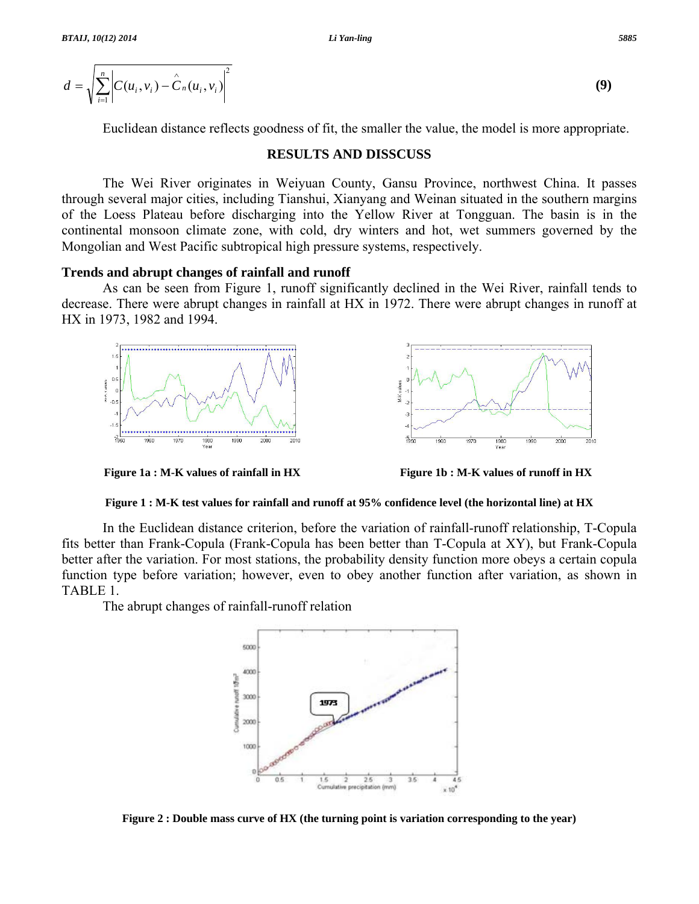$$
d = \sqrt{\sum_{i=1}^{n} \left| C(u_i, v_i) - \hat{C}_n(u_i, v_i) \right|^2}
$$
 (9)

Euclidean distance reflects goodness of fit, the smaller the value, the model is more appropriate.

### **RESULTS AND DISSCUSS**

 The Wei River originates in Weiyuan County, Gansu Province, northwest China. It passes through several major cities, including Tianshui, Xianyang and Weinan situated in the southern margins of the Loess Plateau before discharging into the Yellow River at Tongguan. The basin is in the continental monsoon climate zone, with cold, dry winters and hot, wet summers governed by the Mongolian and West Pacific subtropical high pressure systems, respectively.

## **Trends and abrupt changes of rainfall and runoff**

 As can be seen from Figure 1, runoff significantly declined in the Wei River, rainfall tends to decrease. There were abrupt changes in rainfall at HX in 1972. There were abrupt changes in runoff at HX in 1973, 1982 and 1994.





#### **Figure 1 : M-K test values for rainfall and runoff at 95% confidence level (the horizontal line) at HX**

 In the Euclidean distance criterion, before the variation of rainfall-runoff relationship, T-Copula fits better than Frank-Copula (Frank-Copula has been better than T-Copula at XY), but Frank-Copula better after the variation. For most stations, the probability density function more obeys a certain copula function type before variation; however, even to obey another function after variation, as shown in TABLE 1.

The abrupt changes of rainfall-runoff relation



**Figure 2 : Double mass curve of HX (the turning point is variation corresponding to the year)**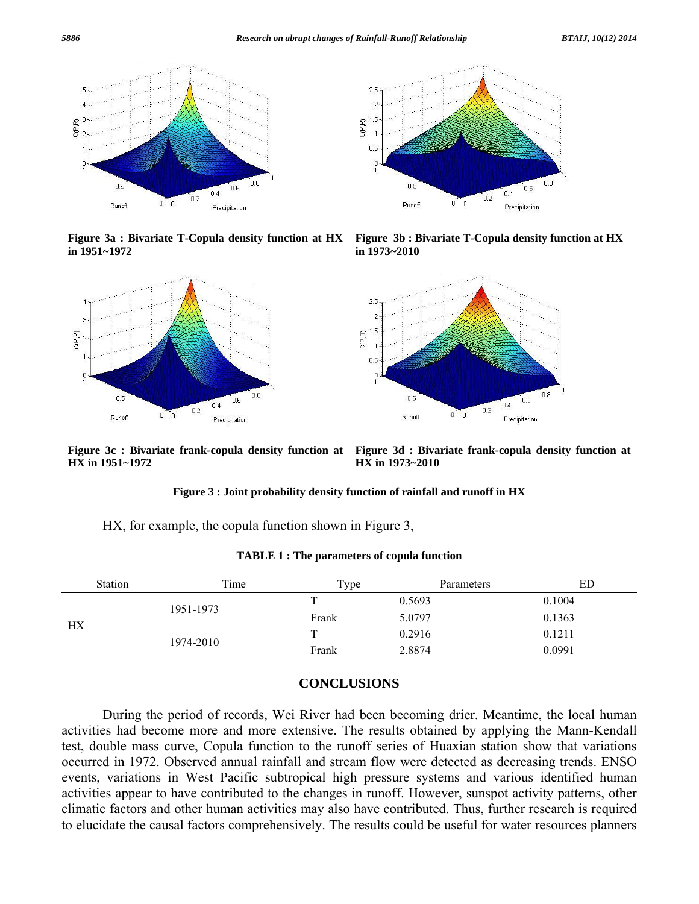

**Figure 3a : Bivariate T-Copula density function at HX in 1951~1972** 





**Figure 3b : Bivariate T-Copula density function at HX in 1973~2010** 



**HX in 1951~1972** 

**Figure 3c : Bivariate frank-copula density function at Figure 3d : Bivariate frank-copula density function at HX in 1973~2010** 

#### **Figure 3 : Joint probability density function of rainfall and runoff in HX**

HX, for example, the copula function shown in Figure 3,

|    | <b>Station</b> | Time | Type   | Parameters | ED     |
|----|----------------|------|--------|------------|--------|
| HX | 1951-1973      |      | 0.5693 | 0.1004     |        |
|    |                |      | Frank  | 5.0797     | 0.1363 |
|    | 1974-2010      |      |        | 0.2916     | 0.1211 |
|    |                |      | Frank  | 2.8874     | 0.0991 |

**TABLE 1 : The parameters of copula function** 

# **CONCLUSIONS**

 During the period of records, Wei River had been becoming drier. Meantime, the local human activities had become more and more extensive. The results obtained by applying the Mann-Kendall test, double mass curve, Copula function to the runoff series of Huaxian station show that variations occurred in 1972. Observed annual rainfall and stream flow were detected as decreasing trends. ENSO events, variations in West Pacific subtropical high pressure systems and various identified human activities appear to have contributed to the changes in runoff. However, sunspot activity patterns, other climatic factors and other human activities may also have contributed. Thus, further research is required to elucidate the causal factors comprehensively. The results could be useful for water resources planners